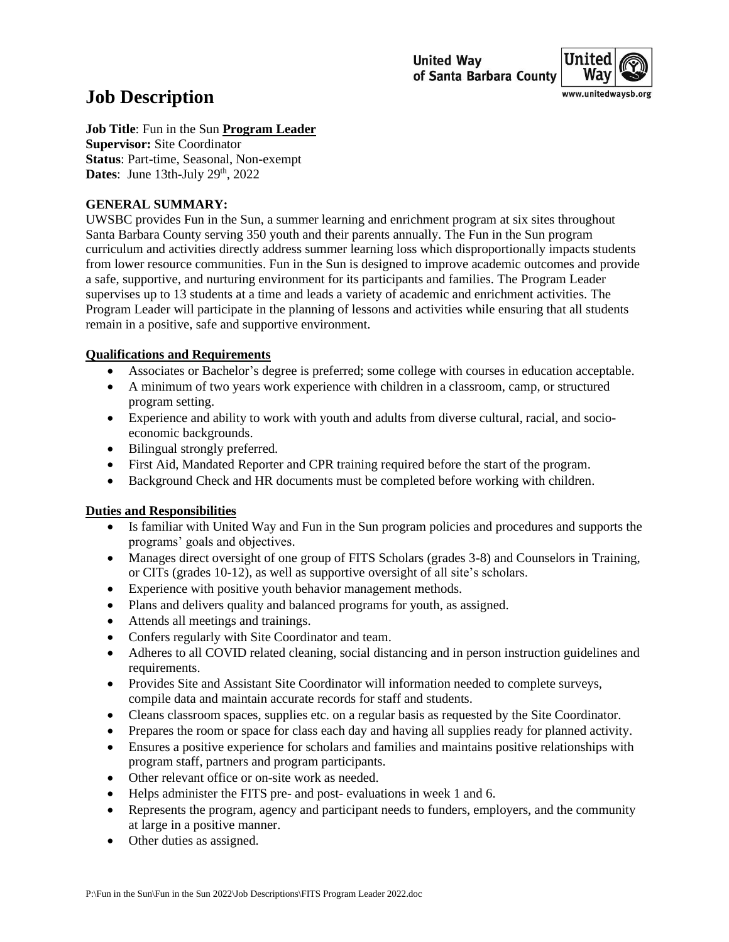

# **Job Description**

**Job Title**: Fun in the Sun **Program Leader Supervisor:** Site Coordinator

**Status**: Part-time, Seasonal, Non-exempt **Dates:** June 13th-July 29<sup>th</sup>, 2022

### **GENERAL SUMMARY:**

UWSBC provides Fun in the Sun, a summer learning and enrichment program at six sites throughout Santa Barbara County serving 350 youth and their parents annually. The Fun in the Sun program curriculum and activities directly address summer learning loss which disproportionally impacts students from lower resource communities. Fun in the Sun is designed to improve academic outcomes and provide a safe, supportive, and nurturing environment for its participants and families. The Program Leader supervises up to 13 students at a time and leads a variety of academic and enrichment activities. The Program Leader will participate in the planning of lessons and activities while ensuring that all students remain in a positive, safe and supportive environment.

## **Qualifications and Requirements**

- Associates or Bachelor's degree is preferred; some college with courses in education acceptable.
- A minimum of two years work experience with children in a classroom, camp, or structured program setting.
- Experience and ability to work with youth and adults from diverse cultural, racial, and socioeconomic backgrounds.
- Bilingual strongly preferred.
- First Aid, Mandated Reporter and CPR training required before the start of the program.
- Background Check and HR documents must be completed before working with children.

# **Duties and Responsibilities**

- Is familiar with United Way and Fun in the Sun program policies and procedures and supports the programs' goals and objectives.
- Manages direct oversight of one group of FITS Scholars (grades 3-8) and Counselors in Training, or CITs (grades 10-12), as well as supportive oversight of all site's scholars.
- Experience with positive youth behavior management methods.
- Plans and delivers quality and balanced programs for youth, as assigned.
- Attends all meetings and trainings.
- Confers regularly with Site Coordinator and team.
- Adheres to all COVID related cleaning, social distancing and in person instruction guidelines and requirements.
- Provides Site and Assistant Site Coordinator will information needed to complete surveys, compile data and maintain accurate records for staff and students.
- Cleans classroom spaces, supplies etc. on a regular basis as requested by the Site Coordinator.
- Prepares the room or space for class each day and having all supplies ready for planned activity.
- Ensures a positive experience for scholars and families and maintains positive relationships with program staff, partners and program participants.
- Other relevant office or on-site work as needed.
- Helps administer the FITS pre- and post- evaluations in week 1 and 6.
- Represents the program, agency and participant needs to funders, employers, and the community at large in a positive manner.
- Other duties as assigned.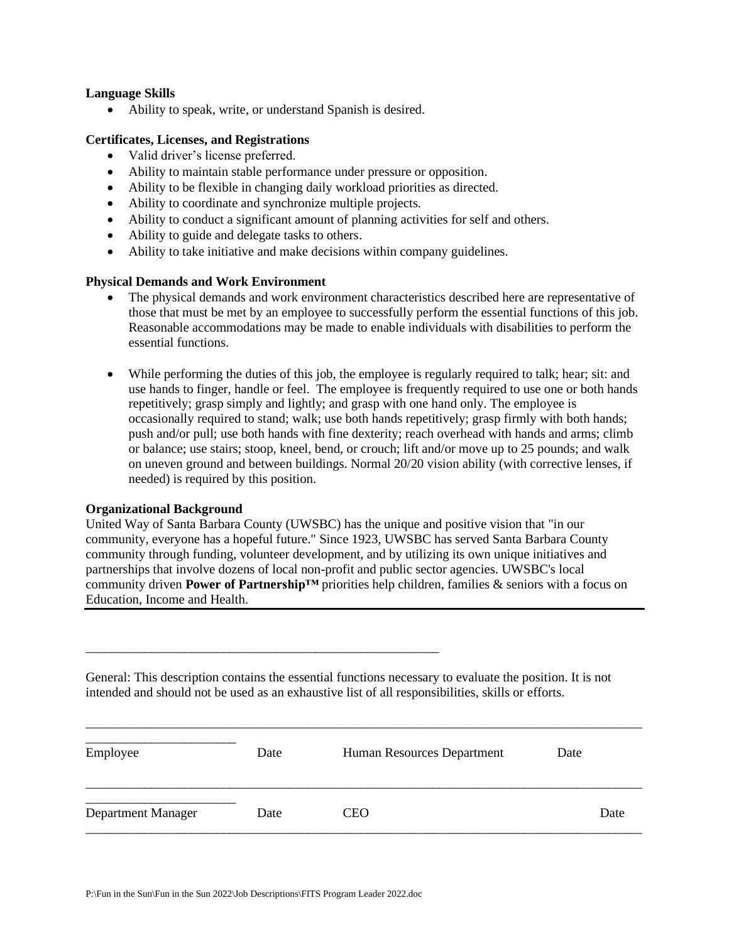#### **Language Skills**

• Ability to speak, write, or understand Spanish is desired.

#### **Certificates, Licenses, and Registrations**

- Valid driver's license preferred.
- Ability to maintain stable performance under pressure or opposition.
- Ability to be flexible in changing daily workload priorities as directed.
- Ability to coordinate and synchronize multiple projects.
- Ability to conduct a significant amount of planning activities for self and others.
- Ability to guide and delegate tasks to others.
- Ability to take initiative and make decisions within company guidelines.

#### **Physical Demands and Work Environment**

- The physical demands and work environment characteristics described here are representative of those that must be met by an employee to successfully perform the essential functions of this job. Reasonable accommodations may be made to enable individuals with disabilities to perform the essential functions.
- While performing the duties of this job, the employee is regularly required to talk; hear; sit: and use hands to finger, handle or feel. The employee is frequently required to use one or both hands repetitively; grasp simply and lightly; and grasp with one hand only. The employee is occasionally required to stand; walk; use both hands repetitively; grasp firmly with both hands; push and/or pull; use both hands with fine dexterity; reach overhead with hands and arms; climb or balance; use stairs; stoop, kneel, bend, or crouch; lift and/or move up to 25 pounds; and walk on uneven ground and between buildings. Normal 20/20 vision ability (with corrective lenses, if needed) is required by this position.

#### **Organizational Background**

United Way of Santa Barbara County (UWSBC) has the unique and positive vision that "in our community, everyone has a hopeful future." Since 1923, UWSBC has served Santa Barbara County community through funding, volunteer development, and by utilizing its own unique initiatives and partnerships that involve dozens of local non-profit and public sector agencies. UWSBC's local community driven **Power of Partnership™** priorities help children, families & seniors with a focus on Education, Income and Health.

General: This description contains the essential functions necessary to evaluate the position. It is not intended and should not be used as an exhaustive list of all responsibilities, skills or efforts.

| Employee           | Date | Human Resources Department | Date |
|--------------------|------|----------------------------|------|
| Department Manager | Date | <b>CEO</b>                 | Date |

\_\_\_\_\_\_\_\_\_\_\_\_\_\_\_\_\_\_\_\_\_\_\_\_\_\_\_\_\_\_\_\_\_\_\_\_\_\_\_\_\_\_\_\_\_\_\_\_\_\_\_\_\_\_\_\_\_\_\_\_\_\_\_\_\_\_\_\_\_\_\_\_\_\_\_\_\_\_\_\_\_\_\_\_\_

\_\_\_\_\_\_\_\_\_\_\_\_\_\_\_\_\_\_\_\_\_\_\_\_\_\_\_\_\_\_\_\_\_\_\_\_\_\_\_\_\_\_\_\_\_\_\_\_\_\_\_\_\_\_